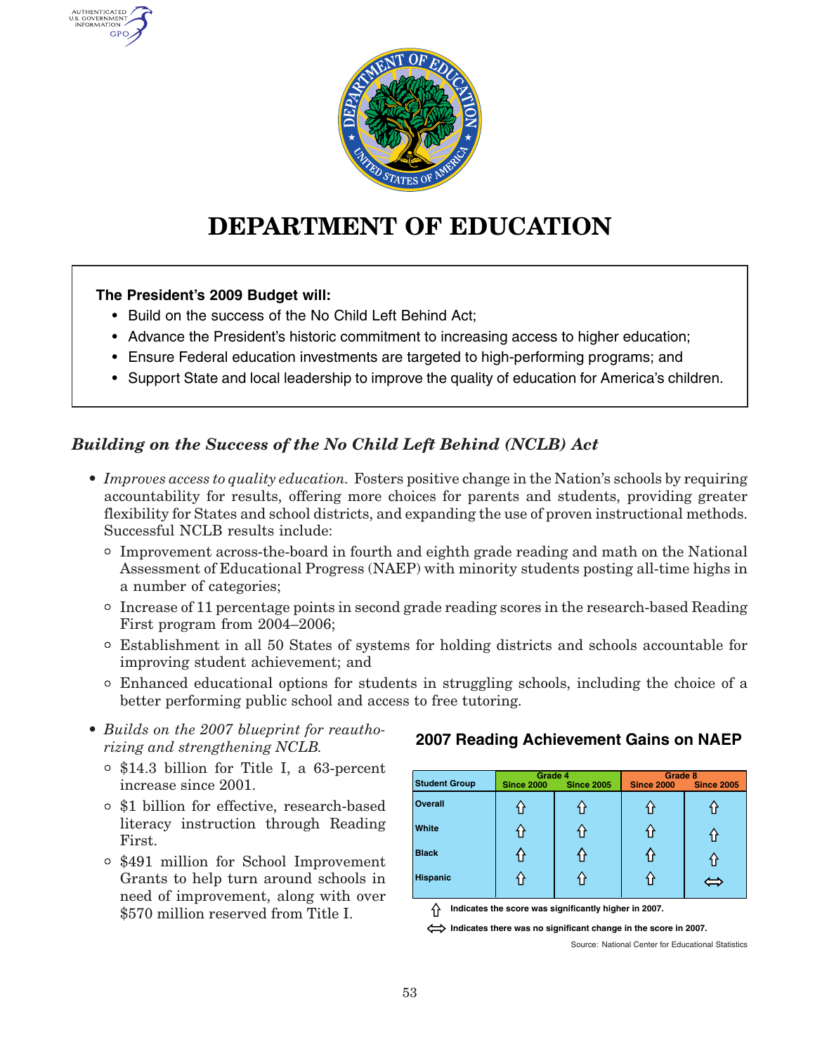

# **DEPARTMENT OF EDUCATION**

#### **The President's 2009 Budget will:**

AUTHENTICATED U.S. GOVERNMENT GPO

- Build on the success of the No Child Left Behind Act;
- Advance the President's historic commitment to increasing access to higher education;
- Ensure Federal education investments are targeted to high-performing programs; and
- Support State and local leadership to improve the quality of education for America's children.

# *Building on the Success of the No Child Left Behind (NCLB) Act*

- *Improves access to quality education.* Fosters positive change in the Nation's schools by requiring accountability for results, offering more choices for parents and students, providing greater flexibility for States and school districts, and expanding the use of proven instructional methods. Successful NCLB results include:
	- ° Improvement across-the-board in fourth and eighth grade reading and math on the National Assessment of Educational Progress (NAEP) with minority students posting all-time highs in <sup>a</sup> number of categories;
	- ° Increase of 11 percentage points in second grade reading scores in the research-based Reading First program from 2004–2006;
	- ° Establishment in all 50 States of systems for holding districts and schools accountable for improving student achievement; and
	- ° Enhanced educational options for students in struggling schools, including the choice of <sup>a</sup> better performing public school and access to free tutoring.
- *Builds on the 2007 blueprint for reauthorizing and strengthening NCLB.*
	- ° \$14.3 billion for Title I, <sup>a</sup> 63-percent increase since 2001.
	- ° \$1 billion for effective, research-based literacy instruction through Reading First.
	- ° \$491 million for School Improvement Grants to help turn around schools in need of improvement, along with over \$570 million reserved from Title I.

# **2007 Reading Achievement Gains on NAEP**

| <b>Student Group</b> | Grade 4<br><b>Since 2005</b><br><b>Since 2000</b> |  | Grade 8<br><b>Since 2000</b><br><b>Since 2005</b> |  |
|----------------------|---------------------------------------------------|--|---------------------------------------------------|--|
| <b>Overall</b>       | Ш                                                 |  |                                                   |  |
| <b>White</b>         | וו                                                |  |                                                   |  |
| <b>Black</b>         |                                                   |  |                                                   |  |
| <b>Hispanic</b>      | 11                                                |  |                                                   |  |

**Indicates the score was significantly higher in 2007.**

Indicates there was no significant change in the score in 2007.

Source: National Center for Educational Statistics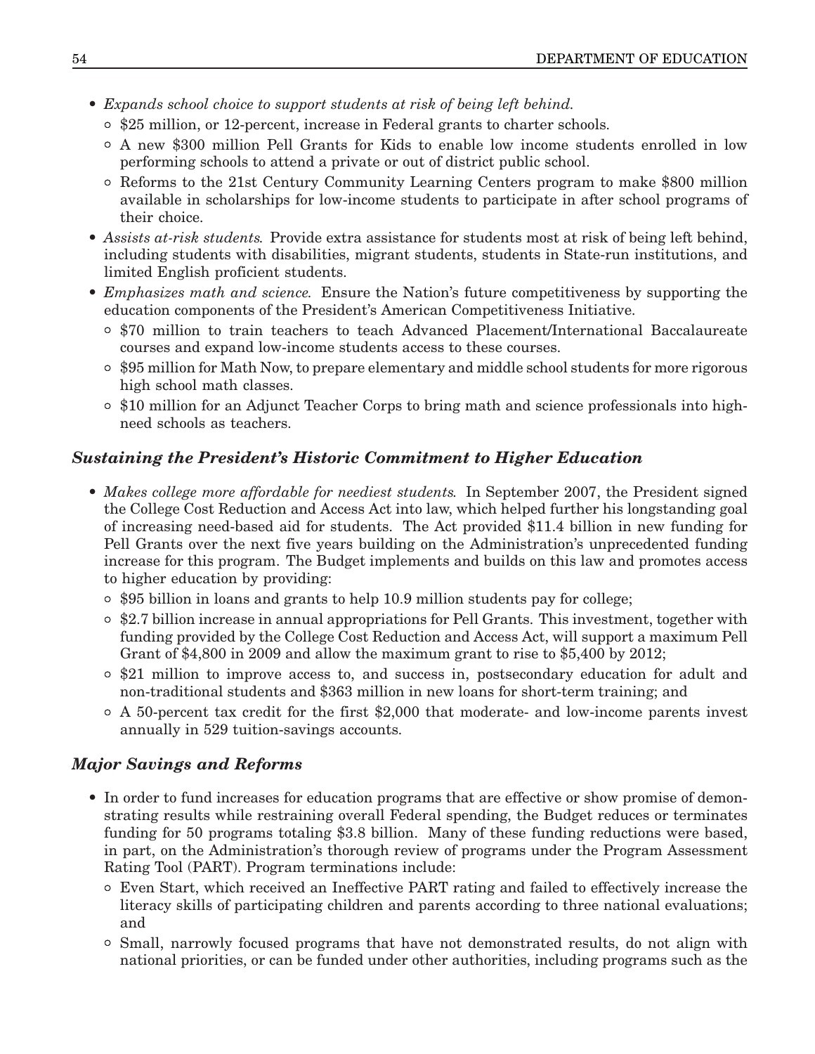- *Expands school choice to support students at risk of being left behind.*
	- ° \$25 million, or 12-percent, increase in Federal grants to charter schools.
	- ° A new \$300 million Pell Grants for Kids to enable low income students enrolled in low performing schools to attend <sup>a</sup> private or out of district public school.
	- ° Reforms to the 21st Century Community Learning Centers program to make \$800 million available in scholarships for low-income students to participate in after school programs of their choice.
- *Assists at-risk students.* Provide extra assistance for students most at risk of being left behind, including students with disabilities, migrant students, students in State-run institutions, and limited English proficient students.
- *Emphasizes math and science.* Ensure the Nation's future competitiveness by supporting the education components of the President's American Competitiveness Initiative.
	- ° \$70 million to train teachers to teach Advanced Placement/International Baccalaureate courses and expand low-income students access to these courses.
	- ° \$95 million for Math Now, to prepare elementary and middle school students for more rigorous high school math classes.
	- ° \$10 million for an Adjunct Teacher Corps to bring math and science professionals into highneed schools as teachers.

# *Sustaining the President's Historic Commitment to Higher Education*

- *Makes college more affordable for neediest students.* In September 2007, the President signed the College Cost Reduction and Access Act into law, which helped further his longstanding goal of increasing need-based aid for students. The Act provided \$11.4 billion in new funding for Pell Grants over the next five years building on the Administration's unprecedented funding increase for this program. The Budget implements and builds on this law and promotes access to higher education by providing:
	- ° \$95 billion in loans and grants to help 10.9 million students pay for college;
	- ° \$2.7 billion increase in annual appropriations for Pell Grants. This investment, together with funding provided by the College Cost Reduction and Access Act, will support <sup>a</sup> maximum Pell Grant of \$4,800 in 2009 and allow the maximum grant to rise to \$5,400 by 2012;
	- ° \$21 million to improve access to, and success in, postsecondary education for adult and non-traditional students and \$363 million in new loans for short-term training; and
	- ° A 50-percent tax credit for the first \$2,000 that moderate- and low-income parents invest annually in 529 tuition-savings accounts.

# *Major Savings and Reforms*

- In order to fund increases for education programs that are effective or show promise of demonstrating results while restraining overall Federal spending, the Budget reduces or terminates funding for 50 programs totaling \$3.8 billion. Many of these funding reductions were based, in part, on the Administration's thorough review of programs under the Program Assessment Rating Tool (PART). Program terminations include:
	- ° Even Start, which received an Ineffective PART rating and failed to effectively increase the literacy skills of participating children and parents according to three national evaluations; and
	- ° Small, narrowly focused programs that have not demonstrated results, do not align with national priorities, or can be funded under other authorities, including programs such as the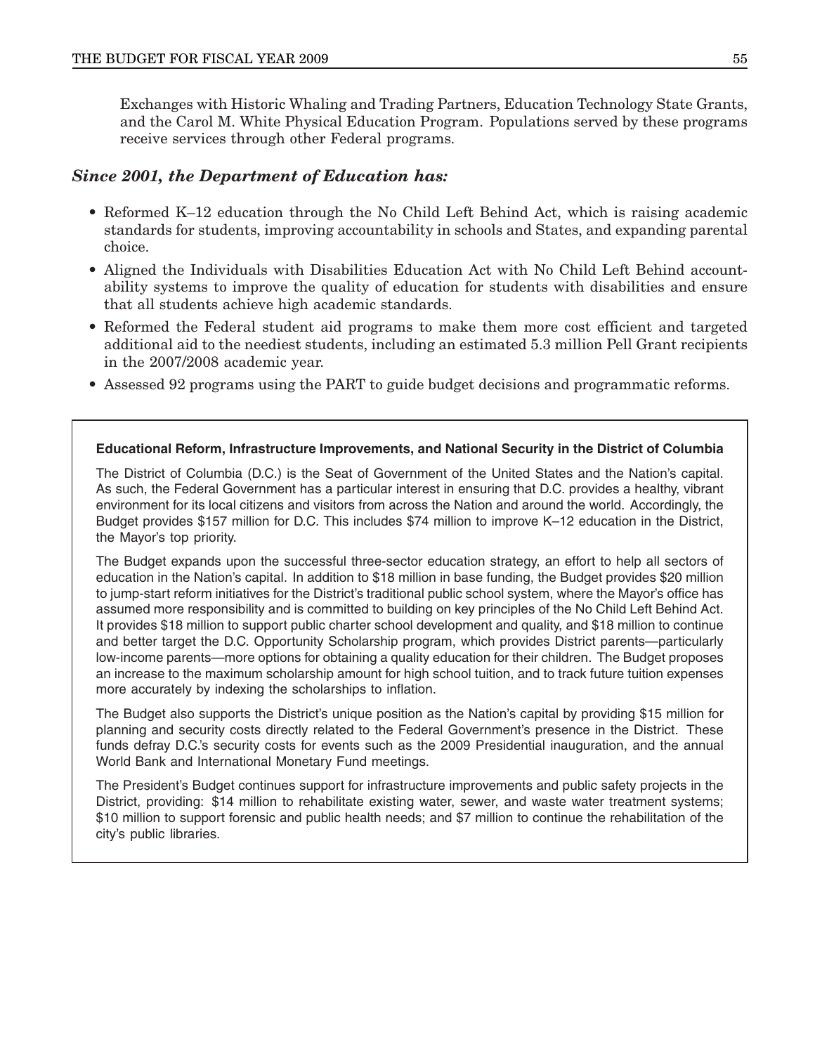Exchanges with Historic Whaling and Trading Partners, Education Technology State Grants, and the Carol M. White Physical Education Program. Populations served by these programs receive services through other Federal programs.

#### *Since 2001, the Department of Education has:*

- Reformed K–12 education through the No Child Left Behind Act, which is raising academic standards for students, improving accountability in schools and States, and expanding parental choice.
- Aligned the Individuals with Disabilities Education Act with No Child Left Behind accountability systems to improve the quality of education for students with disabilities and ensure that all students achieve high academic standards.
- Reformed the Federal student aid programs to make them more cost efficient and targeted additional aid to the neediest students, including an estimated 5.3 million Pell Grant recipients in the 2007/2008 academic year.
- Assessed 92 programs using the PART to guide budget decisions and programmatic reforms.

#### **Educational Reform, Infrastructure Improvements, and National Security in the District of Columbia**

The District of Columbia (D.C.) is the Seat of Government of the United States and the Nation's capital. As such, the Federal Government has <sup>a</sup> particular interest in ensuring that D.C. provides <sup>a</sup> healthy, vibrant environment for its local citizens and visitors from across the Nation and around the world. Accordingly, the Budget provides \$157 million for D.C. This includes \$74 million to improve K–12 education in the District, the Mayor's top priority.

The Budget expands upon the successful three-sector education strategy, an effort to help all sectors of education in the Nation's capital. In addition to \$18 million in base funding, the Budget provides \$20 million to jump-start reform initiatives for the District's traditional public school system, where the Mayor's office has assumed more responsibility and is committed to building on key principles of the No Child Left Behind Act. It provides \$18 million to support public charter school development and quality, and \$18 million to continue and better target the D.C. Opportunity Scholarship program, which provides District parents—particularly low-income parents—more options for obtaining <sup>a</sup> quality education for their children. The Budget proposes an increase to the maximum scholarship amount for high school tuition, and to track future tuition expenses more accurately by indexing the scholarships to inflation.

The Budget also supports the District's unique position as the Nation's capital by providing \$15 million for planning and security costs directly related to the Federal Government's presence in the District. These funds defray D.C.'s security costs for events such as the 2009 Presidential inauguration, and the annual World Bank and International Monetary Fund meetings.

The President's Budget continues support for infrastructure improvements and public safety projects in the District, providing: \$14 million to rehabilitate existing water, sewer, and waste water treatment systems; \$10 million to support forensic and public health needs; and \$7 million to continue the rehabilitation of the city's public libraries.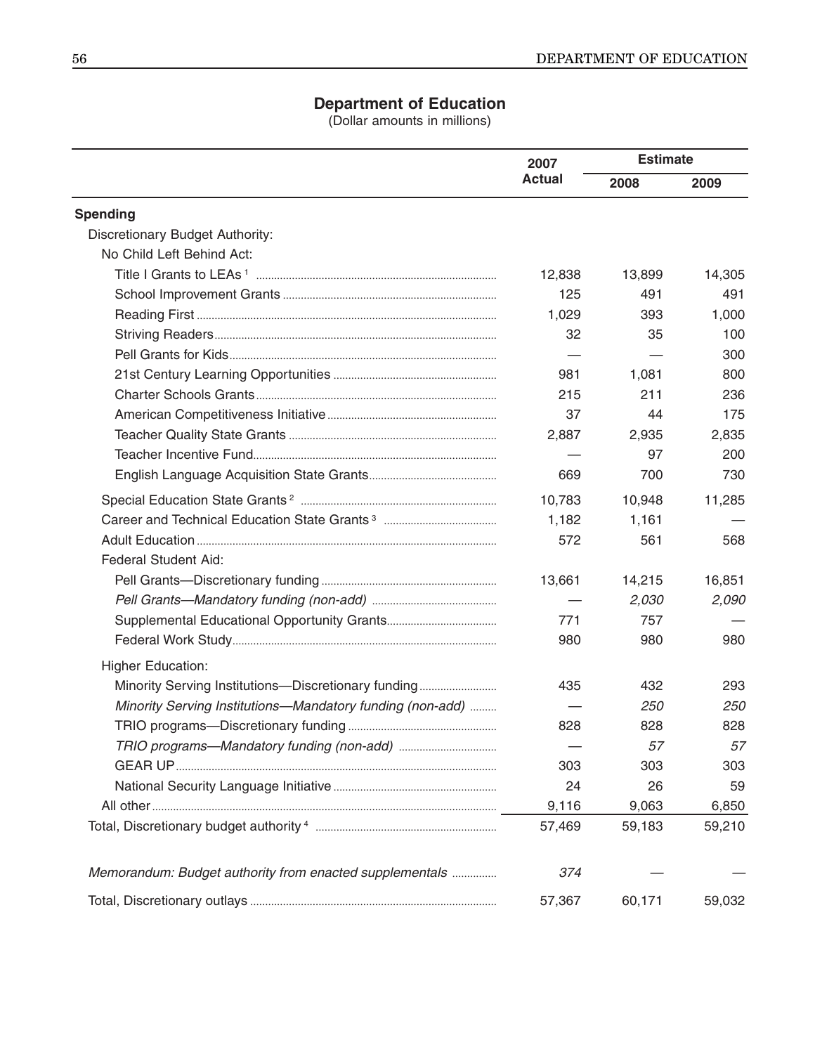### **Department of Education**

(Dollar amounts in millions)

|                                                           | 2007          | <b>Estimate</b> |            |
|-----------------------------------------------------------|---------------|-----------------|------------|
|                                                           | <b>Actual</b> | 2008            | 2009       |
| <b>Spending</b>                                           |               |                 |            |
| Discretionary Budget Authority:                           |               |                 |            |
| No Child Left Behind Act:                                 |               |                 |            |
|                                                           | 12,838        | 13,899          | 14,305     |
|                                                           | 125           | 491             | 491        |
|                                                           | 1,029         | 393             | 1,000      |
|                                                           | 32            | 35              | 100        |
|                                                           |               |                 | 300        |
|                                                           | 981           | 1,081           | 800        |
|                                                           | 215           | 211             | 236        |
|                                                           | 37            | 44              | 175        |
|                                                           | 2,887         | 2,935           | 2,835      |
|                                                           |               | 97              | 200        |
|                                                           | 669           | 700             | 730        |
|                                                           | 10,783        | 10,948          | 11,285     |
|                                                           | 1,182         | 1,161           |            |
|                                                           | 572           | 561             | 568        |
| <b>Federal Student Aid:</b>                               |               |                 |            |
|                                                           | 13,661        | 14,215          | 16,851     |
|                                                           |               | 2,030           | 2,090      |
|                                                           | 771           | 757             |            |
|                                                           | 980           | 980             | 980        |
| <b>Higher Education:</b>                                  |               |                 |            |
| Minority Serving Institutions-Discretionary funding       | 435           | 432             | 293        |
| Minority Serving Institutions-Mandatory funding (non-add) |               | <i>250</i>      | <i>250</i> |
|                                                           | 828           | 828             | 828        |
|                                                           |               | 57              | 57         |
|                                                           | 303           | 303             | 303        |
|                                                           | 24            | 26              | 59         |
|                                                           | 9,116         | 9,063           | 6,850      |
|                                                           | 57,469        | 59,183          | 59,210     |
| Memorandum: Budget authority from enacted supplementals   | 374           |                 |            |
|                                                           | 57,367        | 60,171          | 59,032     |